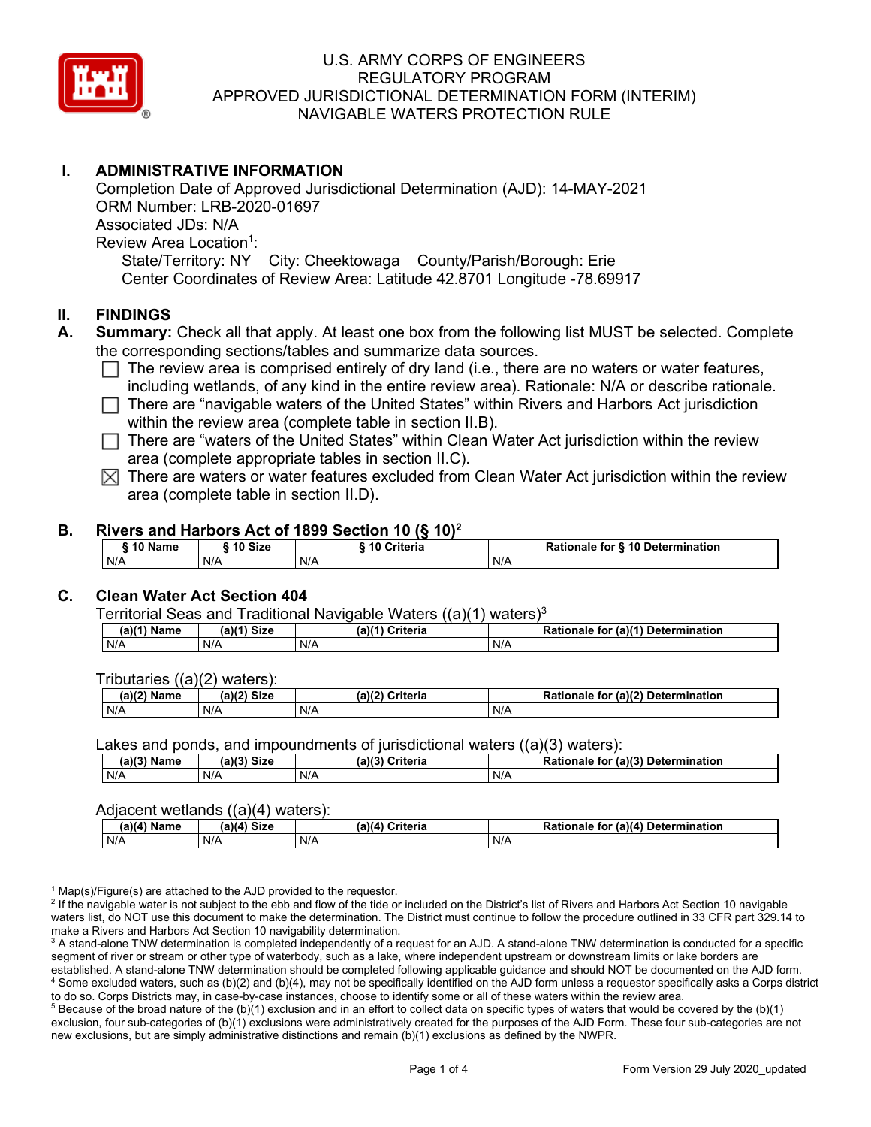

## **I. ADMINISTRATIVE INFORMATION**

Completion Date of Approved Jurisdictional Determination (AJD): 14-MAY-2021 ORM Number: LRB-2020-01697 Associated JDs: N/A Review Area Location<sup>1</sup>: State/Territory: NY City: Cheektowaga County/Parish/Borough: Erie Center Coordinates of Review Area: Latitude 42.8701 Longitude -78.69917

### **II. FINDINGS**

- **A. Summary:** Check all that apply. At least one box from the following list MUST be selected. Complete the corresponding sections/tables and summarize data sources.
	- $\Box$  The review area is comprised entirely of dry land (i.e., there are no waters or water features, including wetlands, of any kind in the entire review area). Rationale: N/A or describe rationale.
	- $\Box$  There are "navigable waters of the United States" within Rivers and Harbors Act jurisdiction within the review area (complete table in section II.B).
	- $\Box$  There are "waters of the United States" within Clean Water Act jurisdiction within the review area (complete appropriate tables in section II.C).
	- $\boxtimes$  There are waters or water features excluded from Clean Water Act jurisdiction within the review area (complete table in section II.D).

#### **B. Rivers and Harbors Act of 1899 Section 10 (§ 10)2**

|     | ົ 10 Name |     | ົ 10 Size | Criteria<br>. 1 U |     | Rationale for § 10 Determination |  |
|-----|-----------|-----|-----------|-------------------|-----|----------------------------------|--|
| N/A |           | N/A |           | N/A               | N/A |                                  |  |

## **C. Clean Water Act Section 404**

Territorial Seas and Traditional Navigable Waters  $((a)(1)$  waters)<sup>3</sup>

| $(a)(1)$ .<br>Name | $(a)$ $(4)$<br>Size | (a)<br>Criteria | (a)(1) Determination<br>Rationale<br>for |
|--------------------|---------------------|-----------------|------------------------------------------|
| N/A                | N/A                 | N/A             | N/A                                      |

Tributaries ((a)(2) waters):

| н   | $\sim$<br>$\sim$ Cime<br>JILE | 21/2<br><br>пе | (2)<br><b>Determination</b><br>TOI<br>naie |
|-----|-------------------------------|----------------|--------------------------------------------|
| N/A | N/A                           | N/A            | N/A                                        |

Lakes and ponds, and impoundments of jurisdictional waters  $((a)(3)$  waters):

| (a)(3) Name | $(a)(3)$ Size | (a)(?') | Criteria | Rationale<br>tor | (a)(3)<br>Determination |
|-------------|---------------|---------|----------|------------------|-------------------------|
| N/A         | N/A           | N/A     |          | N/A              |                         |

#### Adjacent wetlands ((a)(4) waters):

| .<br>.                      |                |                 |                                            |  |  |
|-----------------------------|----------------|-----------------|--------------------------------------------|--|--|
| (a)(4) <sup>⊾</sup><br>Name | Size<br>(a)(d) | (a)(4) Criteria | (a)(4) Determination<br>Rationale .<br>tor |  |  |
| N/A                         | N/A            | N/A             | N/A                                        |  |  |

 $1$  Map(s)/Figure(s) are attached to the AJD provided to the requestor.

<sup>2</sup> If the navigable water is not subject to the ebb and flow of the tide or included on the District's list of Rivers and Harbors Act Section 10 navigable waters list, do NOT use this document to make the determination. The District must continue to follow the procedure outlined in 33 CFR part 329.14 to make a Rivers and Harbors Act Section 10 navigability determination.

<sup>3</sup> A stand-alone TNW determination is completed independently of a request for an AJD. A stand-alone TNW determination is conducted for a specific segment of river or stream or other type of waterbody, such as a lake, where independent upstream or downstream limits or lake borders are established. A stand-alone TNW determination should be completed following applicable guidance and should NOT be documented on the AJD form. <sup>4</sup> Some excluded waters, such as (b)(2) and (b)(4), may not be specifically identified on the AJD form unless a requestor specifically asks a Corps district to do so. Corps Districts may, in case-by-case instances, choose to identify some or all of these waters within the review area.

 $5$  Because of the broad nature of the (b)(1) exclusion and in an effort to collect data on specific types of waters that would be covered by the (b)(1) exclusion, four sub-categories of (b)(1) exclusions were administratively created for the purposes of the AJD Form. These four sub-categories are not new exclusions, but are simply administrative distinctions and remain (b)(1) exclusions as defined by the NWPR.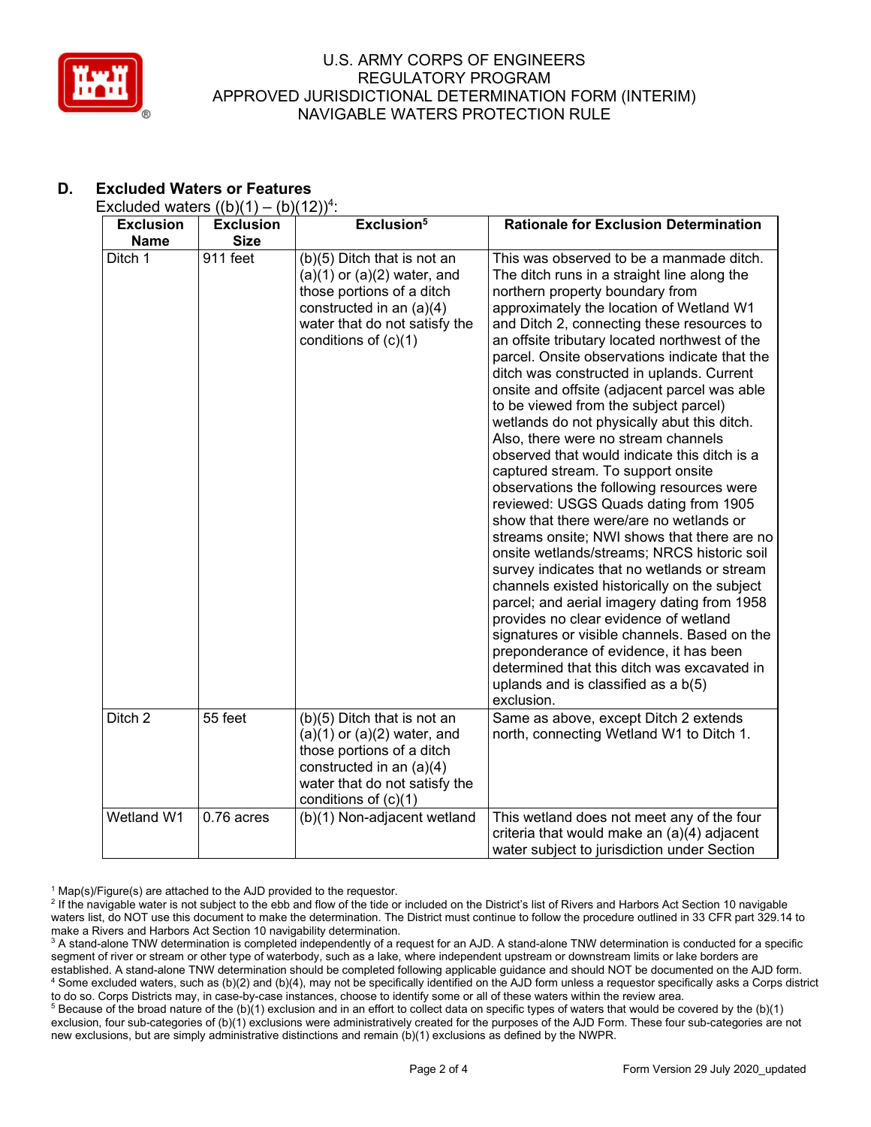

# **D. Excluded Waters or Features**

| Excluded waters $((b)(1) - (b)(12))^4$ : |  |  |
|------------------------------------------|--|--|
|------------------------------------------|--|--|

| <b>Exclusion</b><br><b>Name</b> | <b>Exclusion</b><br><b>Size</b> | Exclusion <sup>5</sup>                                                                                                                                                             | <b>Rationale for Exclusion Determination</b>                                                                                                                                                                                                                                                                                                                                                                                                                                                                                                                                                                                                                                                                                                                                                                                                                                                                                                                                                                                                                                                                                                                                                                                                                   |
|---------------------------------|---------------------------------|------------------------------------------------------------------------------------------------------------------------------------------------------------------------------------|----------------------------------------------------------------------------------------------------------------------------------------------------------------------------------------------------------------------------------------------------------------------------------------------------------------------------------------------------------------------------------------------------------------------------------------------------------------------------------------------------------------------------------------------------------------------------------------------------------------------------------------------------------------------------------------------------------------------------------------------------------------------------------------------------------------------------------------------------------------------------------------------------------------------------------------------------------------------------------------------------------------------------------------------------------------------------------------------------------------------------------------------------------------------------------------------------------------------------------------------------------------|
| Ditch 1                         | 911 feet                        | (b)(5) Ditch that is not an<br>$(a)(1)$ or $(a)(2)$ water, and<br>those portions of a ditch<br>constructed in an (a)(4)<br>water that do not satisfy the<br>conditions of $(c)(1)$ | This was observed to be a manmade ditch.<br>The ditch runs in a straight line along the<br>northern property boundary from<br>approximately the location of Wetland W1<br>and Ditch 2, connecting these resources to<br>an offsite tributary located northwest of the<br>parcel. Onsite observations indicate that the<br>ditch was constructed in uplands. Current<br>onsite and offsite (adjacent parcel was able<br>to be viewed from the subject parcel)<br>wetlands do not physically abut this ditch.<br>Also, there were no stream channels<br>observed that would indicate this ditch is a<br>captured stream. To support onsite<br>observations the following resources were<br>reviewed: USGS Quads dating from 1905<br>show that there were/are no wetlands or<br>streams onsite; NWI shows that there are no<br>onsite wetlands/streams; NRCS historic soil<br>survey indicates that no wetlands or stream<br>channels existed historically on the subject<br>parcel; and aerial imagery dating from 1958<br>provides no clear evidence of wetland<br>signatures or visible channels. Based on the<br>preponderance of evidence, it has been<br>determined that this ditch was excavated in<br>uplands and is classified as a $b(5)$<br>exclusion. |
| Ditch 2                         | 55 feet                         | (b)(5) Ditch that is not an<br>$(a)(1)$ or $(a)(2)$ water, and<br>those portions of a ditch<br>constructed in an (a)(4)<br>water that do not satisfy the<br>conditions of (c)(1)   | Same as above, except Ditch 2 extends<br>north, connecting Wetland W1 to Ditch 1.                                                                                                                                                                                                                                                                                                                                                                                                                                                                                                                                                                                                                                                                                                                                                                                                                                                                                                                                                                                                                                                                                                                                                                              |
| Wetland W1                      | 0.76 acres                      | (b)(1) Non-adjacent wetland                                                                                                                                                        | This wetland does not meet any of the four<br>criteria that would make an (a)(4) adjacent<br>water subject to jurisdiction under Section                                                                                                                                                                                                                                                                                                                                                                                                                                                                                                                                                                                                                                                                                                                                                                                                                                                                                                                                                                                                                                                                                                                       |

 $1$  Map(s)/Figure(s) are attached to the AJD provided to the requestor.

<sup>&</sup>lt;sup>2</sup> If the navigable water is not subject to the ebb and flow of the tide or included on the District's list of Rivers and Harbors Act Section 10 navigable waters list, do NOT use this document to make the determination. The District must continue to follow the procedure outlined in 33 CFR part 329.14 to make a Rivers and Harbors Act Section 10 navigability determination.

<sup>&</sup>lt;sup>3</sup> A stand-alone TNW determination is completed independently of a request for an AJD. A stand-alone TNW determination is conducted for a specific segment of river or stream or other type of waterbody, such as a lake, where independent upstream or downstream limits or lake borders are established. A stand-alone TNW determination should be completed following applicable guidance and should NOT be documented on the AJD form. <sup>4</sup> Some excluded waters, such as (b)(2) and (b)(4), may not be specifically identified on the AJD form unless a requestor specifically asks a Corps district to do so. Corps Districts may, in case-by-case instances, choose to identify some or all of these waters within the review area.

<sup>&</sup>lt;sup>5</sup> Because of the broad nature of the (b)(1) exclusion and in an effort to collect data on specific types of waters that would be covered by the (b)(1) exclusion, four sub-categories of (b)(1) exclusions were administratively created for the purposes of the AJD Form. These four sub-categories are not new exclusions, but are simply administrative distinctions and remain (b)(1) exclusions as defined by the NWPR.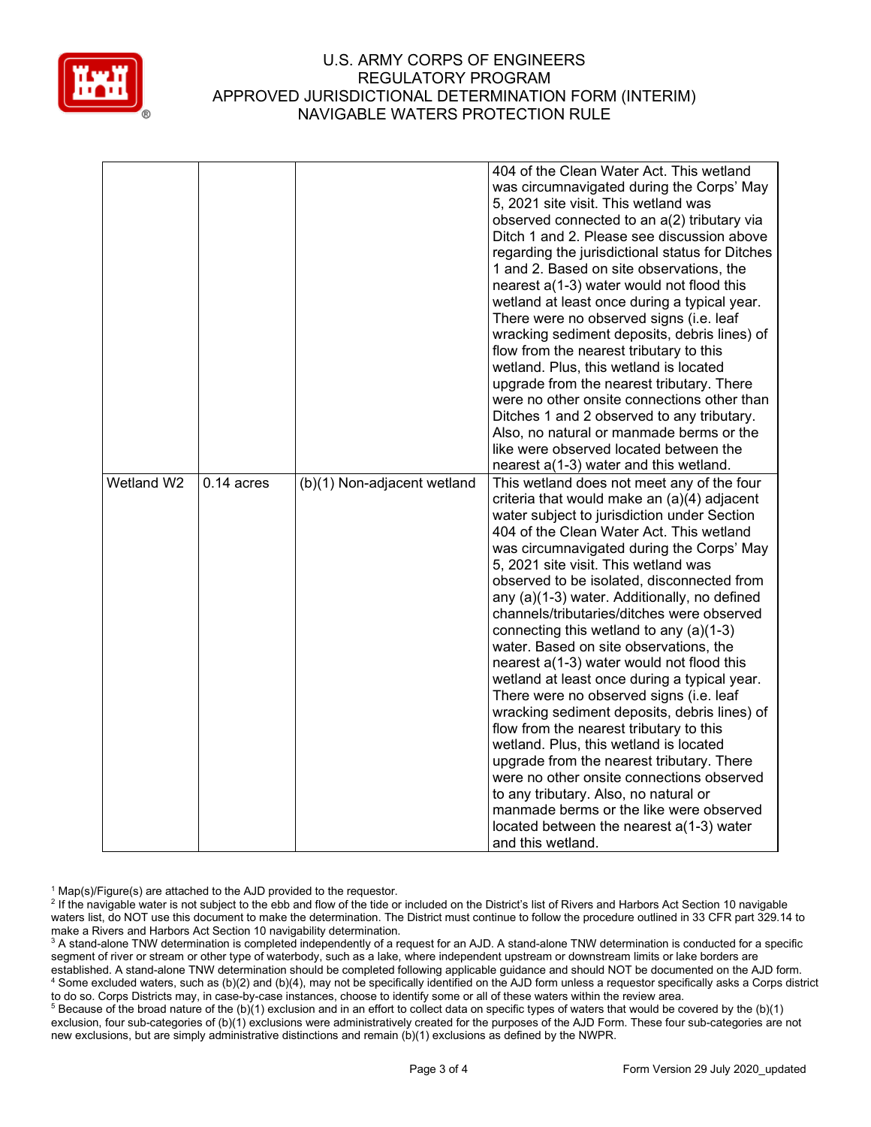

|            |              |                             | 404 of the Clean Water Act. This wetland<br>was circumnavigated during the Corps' May<br>5, 2021 site visit. This wetland was<br>observed connected to an a(2) tributary via<br>Ditch 1 and 2. Please see discussion above<br>regarding the jurisdictional status for Ditches<br>1 and 2. Based on site observations, the<br>nearest a(1-3) water would not flood this<br>wetland at least once during a typical year.<br>There were no observed signs (i.e. leaf<br>wracking sediment deposits, debris lines) of<br>flow from the nearest tributary to this<br>wetland. Plus, this wetland is located<br>upgrade from the nearest tributary. There<br>were no other onsite connections other than<br>Ditches 1 and 2 observed to any tributary.<br>Also, no natural or manmade berms or the<br>like were observed located between the                                                                                                                                                                                                   |
|------------|--------------|-----------------------------|------------------------------------------------------------------------------------------------------------------------------------------------------------------------------------------------------------------------------------------------------------------------------------------------------------------------------------------------------------------------------------------------------------------------------------------------------------------------------------------------------------------------------------------------------------------------------------------------------------------------------------------------------------------------------------------------------------------------------------------------------------------------------------------------------------------------------------------------------------------------------------------------------------------------------------------------------------------------------------------------------------------------------------------|
|            |              |                             | nearest a(1-3) water and this wetland.                                                                                                                                                                                                                                                                                                                                                                                                                                                                                                                                                                                                                                                                                                                                                                                                                                                                                                                                                                                                   |
| Wetland W2 | $0.14$ acres | (b)(1) Non-adjacent wetland | This wetland does not meet any of the four<br>criteria that would make an (a)(4) adjacent<br>water subject to jurisdiction under Section<br>404 of the Clean Water Act. This wetland<br>was circumnavigated during the Corps' May<br>5, 2021 site visit. This wetland was<br>observed to be isolated, disconnected from<br>any (a)(1-3) water. Additionally, no defined<br>channels/tributaries/ditches were observed<br>connecting this wetland to any $(a)(1-3)$<br>water. Based on site observations, the<br>nearest a(1-3) water would not flood this<br>wetland at least once during a typical year.<br>There were no observed signs (i.e. leaf<br>wracking sediment deposits, debris lines) of<br>flow from the nearest tributary to this<br>wetland. Plus, this wetland is located<br>upgrade from the nearest tributary. There<br>were no other onsite connections observed<br>to any tributary. Also, no natural or<br>manmade berms or the like were observed<br>located between the nearest a(1-3) water<br>and this wetland. |

 $1$  Map(s)/Figure(s) are attached to the AJD provided to the requestor.

<sup>2</sup> If the navigable water is not subject to the ebb and flow of the tide or included on the District's list of Rivers and Harbors Act Section 10 navigable waters list, do NOT use this document to make the determination. The District must continue to follow the procedure outlined in 33 CFR part 329.14 to make a Rivers and Harbors Act Section 10 navigability determination.

<sup>3</sup> A stand-alone TNW determination is completed independently of a request for an AJD. A stand-alone TNW determination is conducted for a specific segment of river or stream or other type of waterbody, such as a lake, where independent upstream or downstream limits or lake borders are established. A stand-alone TNW determination should be completed following applicable guidance and should NOT be documented on the AJD form. <sup>4</sup> Some excluded waters, such as (b)(2) and (b)(4), may not be specifically identified on the AJD form unless a requestor specifically asks a Corps district to do so. Corps Districts may, in case-by-case instances, choose to identify some or all of these waters within the review area.

<sup>5</sup> Because of the broad nature of the (b)(1) exclusion and in an effort to collect data on specific types of waters that would be covered by the (b)(1) exclusion, four sub-categories of (b)(1) exclusions were administratively created for the purposes of the AJD Form. These four sub-categories are not new exclusions, but are simply administrative distinctions and remain (b)(1) exclusions as defined by the NWPR.